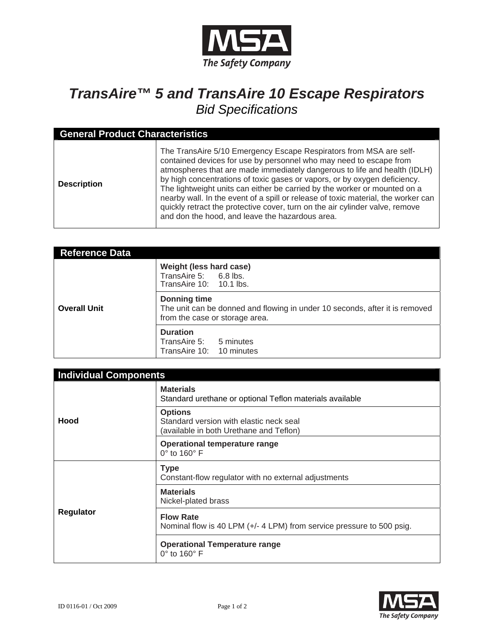

## *TransAire™ 5 and TransAire 10 Escape Respirators Bid Specifications*

| <b>General Product Characteristics</b> |                                                                                                                                                                                                                                                                                                                                                                                                                                                                                                                                                                                                         |  |
|----------------------------------------|---------------------------------------------------------------------------------------------------------------------------------------------------------------------------------------------------------------------------------------------------------------------------------------------------------------------------------------------------------------------------------------------------------------------------------------------------------------------------------------------------------------------------------------------------------------------------------------------------------|--|
| <b>Description</b>                     | The TransAire 5/10 Emergency Escape Respirators from MSA are self-<br>contained devices for use by personnel who may need to escape from<br>atmospheres that are made immediately dangerous to life and health (IDLH)<br>by high concentrations of toxic gases or vapors, or by oxygen deficiency.<br>The lightweight units can either be carried by the worker or mounted on a<br>nearby wall. In the event of a spill or release of toxic material, the worker can<br>quickly retract the protective cover, turn on the air cylinder valve, remove<br>and don the hood, and leave the hazardous area. |  |

| <b>Reference Data</b> |                                                                                                                                      |
|-----------------------|--------------------------------------------------------------------------------------------------------------------------------------|
| <b>Overall Unit</b>   | Weight (less hard case)<br>TransAire 5: 6.8 lbs.<br>TransAire 10: 10.1 lbs.                                                          |
|                       | <b>Donning time</b><br>The unit can be donned and flowing in under 10 seconds, after it is removed<br>from the case or storage area. |
|                       | <b>Duration</b><br>TransAire 5: 5 minutes<br>TransAire 10: 10 minutes                                                                |

| <b>Individual Components</b> |                                                                                                      |  |
|------------------------------|------------------------------------------------------------------------------------------------------|--|
| Hood                         | <b>Materials</b><br>Standard urethane or optional Teflon materials available                         |  |
|                              | <b>Options</b><br>Standard version with elastic neck seal<br>(available in both Urethane and Teflon) |  |
|                              | Operational temperature range<br>$0^\circ$ to 160 $^\circ$ F                                         |  |
| <b>Regulator</b>             | <b>Type</b><br>Constant-flow regulator with no external adjustments                                  |  |
|                              | <b>Materials</b><br>Nickel-plated brass                                                              |  |
|                              | <b>Flow Rate</b><br>Nominal flow is 40 LPM (+/- 4 LPM) from service pressure to 500 psig.            |  |
|                              | <b>Operational Temperature range</b><br>$0^\circ$ to 160 $^\circ$ F                                  |  |